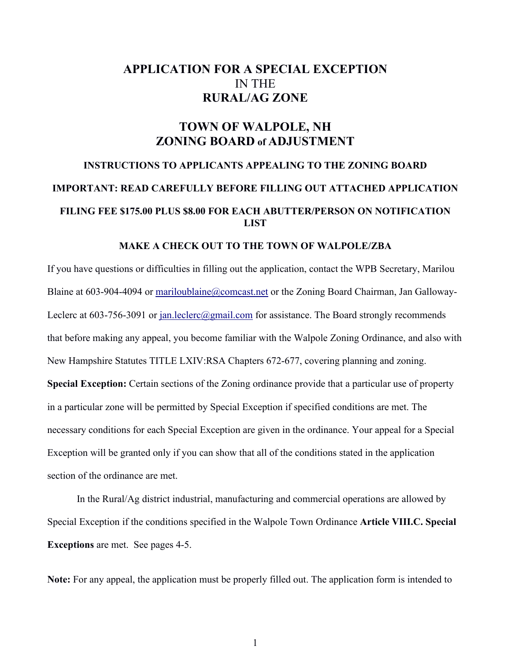# **APPLICATION FOR A SPECIAL EXCEPTION**  IN THE **RURAL/AG ZONE**

# **TOWN OF WALPOLE, NH ZONING BOARD of ADJUSTMENT**

# **INSTRUCTIONS TO APPLICANTS APPEALING TO THE ZONING BOARD IMPORTANT: READ CAREFULLY BEFORE FILLING OUT ATTACHED APPLICATION FILING FEE \$175.00 PLUS \$8.00 FOR EACH ABUTTER/PERSON ON NOTIFICATION LIST**

#### **MAKE A CHECK OUT TO THE TOWN OF WALPOLE/ZBA**

If you have questions or difficulties in filling out the application, contact the WPB Secretary, Marilou Blaine at 603-904-4094 or [mariloublaine@comcast.net](mailto:mariloublaine@myfairpoint.net) or the Zoning Board Chairman, Jan GallowayLeclerc at 603-756-3091 or [jan.leclerc@gmail.com](mailto:jan.leclerc@gmail.com) for assistance. The Board strongly recommends that before making any appeal, you become familiar with the Walpole Zoning Ordinance, and also with New Hampshire Statutes TITLE LXIV:RSA Chapters 672-677, covering planning and zoning. **Special Exception:** Certain sections of the Zoning ordinance provide that a particular use of property in a particular zone will be permitted by Special Exception if specified conditions are met. The necessary conditions for each Special Exception are given in the ordinance. Your appeal for a Special Exception will be granted only if you can show that all of the conditions stated in the application section of the ordinance are met.

In the Rural/Ag district industrial, manufacturing and commercial operations are allowed by Special Exception if the conditions specified in the Walpole Town Ordinance **Article VIII.C. Special Exceptions** are met. See pages 4-5.

**Note:** For any appeal, the application must be properly filled out. The application form is intended to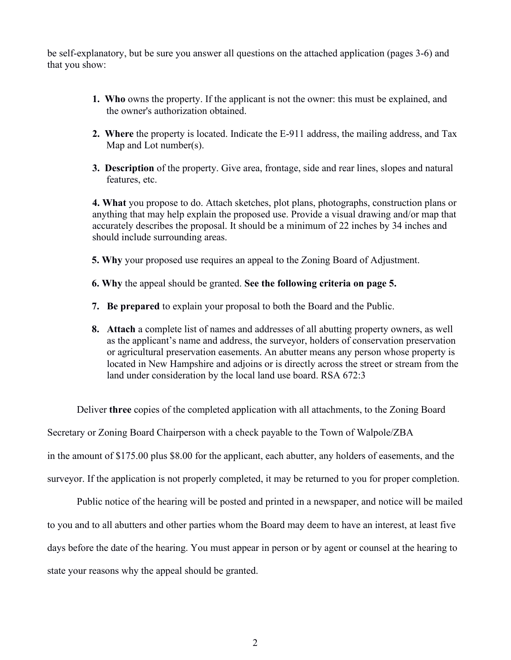be self-explanatory, but be sure you answer all questions on the attached application (pages 3-6) and that you show:

- **1. Who** owns the property. If the applicant is not the owner: this must be explained, and the owner's authorization obtained.
- **2. Where** the property is located. Indicate the E-911 address, the mailing address, and Tax Map and Lot number(s).
- **3. Description** of the property. Give area, frontage, side and rear lines, slopes and natural features, etc.

**4. What** you propose to do. Attach sketches, plot plans, photographs, construction plans or anything that may help explain the proposed use. Provide a visual drawing and/or map that accurately describes the proposal. It should be a minimum of 22 inches by 34 inches and should include surrounding areas.

- **5. Why** your proposed use requires an appeal to the Zoning Board of Adjustment.
- **6. Why** the appeal should be granted. **See the following criteria on page 5.**
- **7. Be prepared** to explain your proposal to both the Board and the Public.
- **8. Attach** a complete list of names and addresses of all abutting property owners, as well as the applicant's name and address, the surveyor, holders of conservation preservation or agricultural preservation easements. An abutter means any person whose property is located in New Hampshire and adjoins or is directly across the street or stream from the land under consideration by the local land use board. RSA 672:3

Deliver **three** copies of the completed application with all attachments, to the Zoning Board

Secretary or Zoning Board Chairperson with a check payable to the Town of Walpole/ZBA

in the amount of \$175.00 plus \$8.00 for the applicant, each abutter, any holders of easements, and the

surveyor. If the application is not properly completed, it may be returned to you for proper completion.

Public notice of the hearing will be posted and printed in a newspaper, and notice will be mailed to you and to all abutters and other parties whom the Board may deem to have an interest, at least five days before the date of the hearing. You must appear in person or by agent or counsel at the hearing to state your reasons why the appeal should be granted.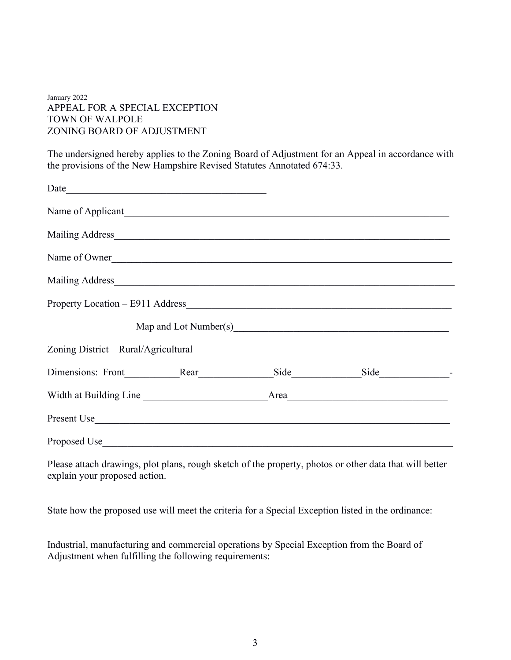#### January 2022 APPEAL FOR A SPECIAL EXCEPTION TOWN OF WALPOLE ZONING BOARD OF ADJUSTMENT

The undersigned hereby applies to the Zoning Board of Adjustment for an Appeal in accordance with the provisions of the New Hampshire Revised Statutes Annotated 674:33.

| Name of Applicant                                                                                                                                                                                                              |  |  |  |  |
|--------------------------------------------------------------------------------------------------------------------------------------------------------------------------------------------------------------------------------|--|--|--|--|
| Mailing Address Management of the Community of the Community of the Community of the Community of the Community of the Community of the Community of the Community of the Community of the Community of the Community of the C |  |  |  |  |
| Name of Owner                                                                                                                                                                                                                  |  |  |  |  |
| Mailing Address Mailing Address                                                                                                                                                                                                |  |  |  |  |
|                                                                                                                                                                                                                                |  |  |  |  |
|                                                                                                                                                                                                                                |  |  |  |  |
| Zoning District – Rural/Agricultural                                                                                                                                                                                           |  |  |  |  |
| Dimensions: Front Rear                                                                                                                                                                                                         |  |  |  |  |
| Width at Building Line                                                                                                                                                                                                         |  |  |  |  |
| Present Use                                                                                                                                                                                                                    |  |  |  |  |
| Proposed Use                                                                                                                                                                                                                   |  |  |  |  |

Please attach drawings, plot plans, rough sketch of the property, photos or other data that will better explain your proposed action.

State how the proposed use will meet the criteria for a Special Exception listed in the ordinance:

Industrial, manufacturing and commercial operations by Special Exception from the Board of Adjustment when fulfilling the following requirements: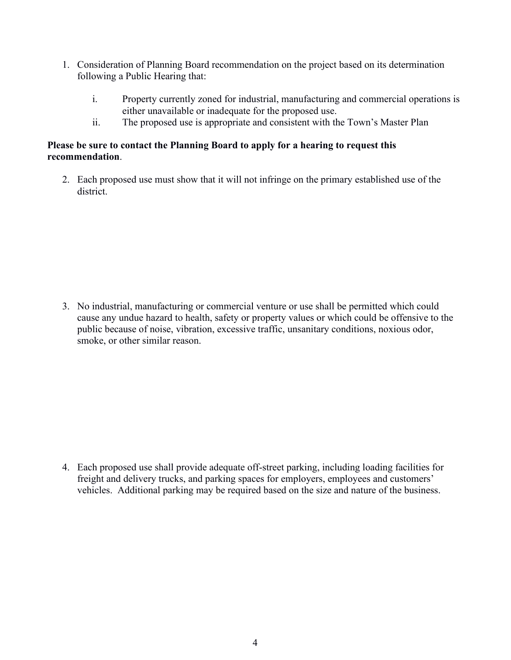- 1. Consideration of Planning Board recommendation on the project based on its determination following a Public Hearing that:
	- i. Property currently zoned for industrial, manufacturing and commercial operations is either unavailable or inadequate for the proposed use.
	- ii. The proposed use is appropriate and consistent with the Town's Master Plan

## **Please be sure to contact the Planning Board to apply for a hearing to request this recommendation**.

2. Each proposed use must show that it will not infringe on the primary established use of the district.

3. No industrial, manufacturing or commercial venture or use shall be permitted which could cause any undue hazard to health, safety or property values or which could be offensive to the public because of noise, vibration, excessive traffic, unsanitary conditions, noxious odor, smoke, or other similar reason.

4. Each proposed use shall provide adequate off-street parking, including loading facilities for freight and delivery trucks, and parking spaces for employers, employees and customers' vehicles. Additional parking may be required based on the size and nature of the business.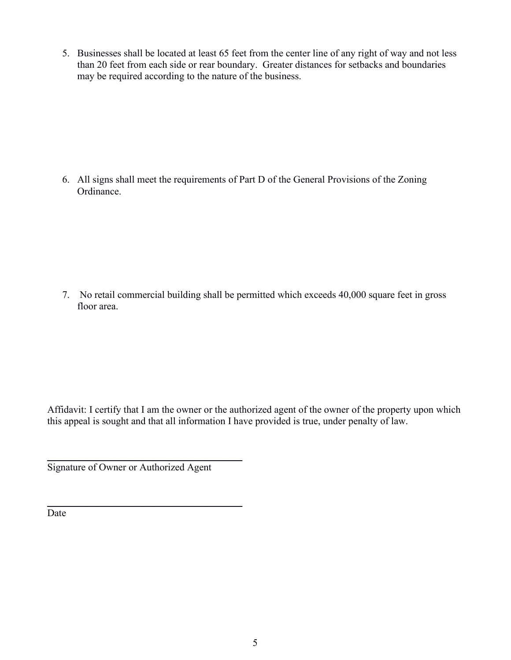5. Businesses shall be located at least 65 feet from the center line of any right of way and not less than 20 feet from each side or rear boundary. Greater distances for setbacks and boundaries may be required according to the nature of the business.

6. All signs shall meet the requirements of Part D of the General Provisions of the Zoning Ordinance.

7. No retail commercial building shall be permitted which exceeds 40,000 square feet in gross floor area.

Affidavit: I certify that I am the owner or the authorized agent of the owner of the property upon which this appeal is sought and that all information I have provided is true, under penalty of law.

Signature of Owner or Authorized Agent

\_\_\_\_\_\_\_\_\_\_\_\_\_\_\_\_\_\_\_\_\_\_\_\_\_\_\_\_\_\_\_\_\_\_\_\_\_\_\_

\_\_\_\_\_\_\_\_\_\_\_\_\_\_\_\_\_\_\_\_\_\_\_\_\_\_\_\_\_\_\_\_\_\_\_\_\_\_\_

Date